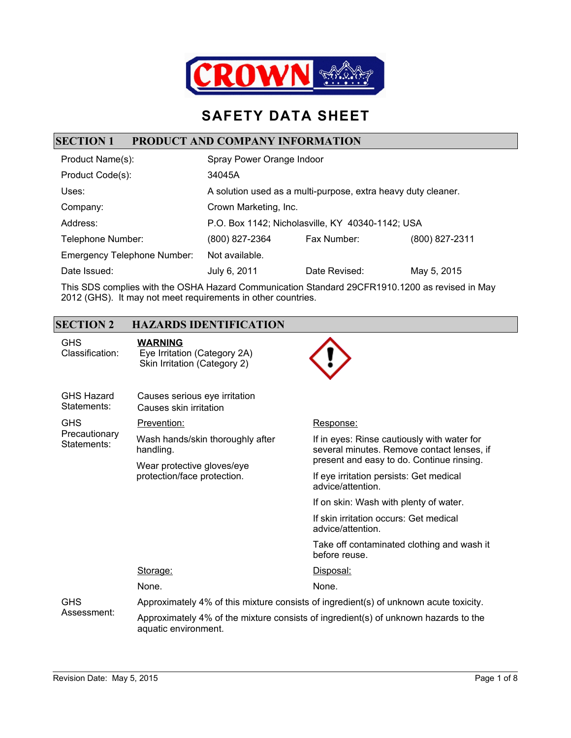

# **SAFETY DATA SHEET**

## **SECTION 1 PRODUCT AND COMPANY INFORMATION**

| Product Name(s):                   | Spray Power Orange Indoor                                     |               |                |
|------------------------------------|---------------------------------------------------------------|---------------|----------------|
| Product Code(s):                   | 34045A                                                        |               |                |
| Uses:                              | A solution used as a multi-purpose, extra heavy duty cleaner. |               |                |
| Company:                           | Crown Marketing, Inc.                                         |               |                |
| Address:                           | P.O. Box 1142; Nicholasville, KY 40340-1142; USA              |               |                |
| Telephone Number:                  | (800) 827-2364                                                | Fax Number:   | (800) 827-2311 |
| <b>Emergency Telephone Number:</b> | Not available.                                                |               |                |
| Date Issued:                       | July 6, 2011                                                  | Date Revised: | May 5, 2015    |

This SDS complies with the OSHA Hazard Communication Standard 29CFR1910.1200 as revised in May 2012 (GHS). It may not meet requirements in other countries.

### **SECTION 2 HAZARDS IDENTIFICATION**

| <b>GHS</b><br>Classification:    | WARNING<br>Eye Irritation (Category 2A)<br>Skin Irritation (Category 2)                                     |                                                                                           |  |
|----------------------------------|-------------------------------------------------------------------------------------------------------------|-------------------------------------------------------------------------------------------|--|
| <b>GHS Hazard</b><br>Statements: | Causes serious eye irritation<br>Causes skin irritation                                                     |                                                                                           |  |
| <b>GHS</b>                       | Prevention:                                                                                                 | Response:                                                                                 |  |
| Precautionary<br>Statements:     | Wash hands/skin thoroughly after<br>handling.                                                               | If in eyes: Rinse cautiously with water for<br>several minutes. Remove contact lenses, if |  |
|                                  | Wear protective gloves/eye<br>protection/face protection.                                                   | present and easy to do. Continue rinsing.                                                 |  |
|                                  |                                                                                                             | If eye irritation persists: Get medical<br>advice/attention.                              |  |
|                                  |                                                                                                             | If on skin: Wash with plenty of water.                                                    |  |
|                                  |                                                                                                             | If skin irritation occurs: Get medical<br>advice/attention.                               |  |
|                                  |                                                                                                             | Take off contaminated clothing and wash it<br>before reuse.                               |  |
|                                  | Storage:                                                                                                    | Disposal:                                                                                 |  |
|                                  | None.                                                                                                       | None.                                                                                     |  |
| <b>GHS</b><br>Assessment:        | Approximately 4% of this mixture consists of ingredient(s) of unknown acute toxicity.                       |                                                                                           |  |
|                                  | Approximately 4% of the mixture consists of ingredient(s) of unknown hazards to the<br>aquatic environment. |                                                                                           |  |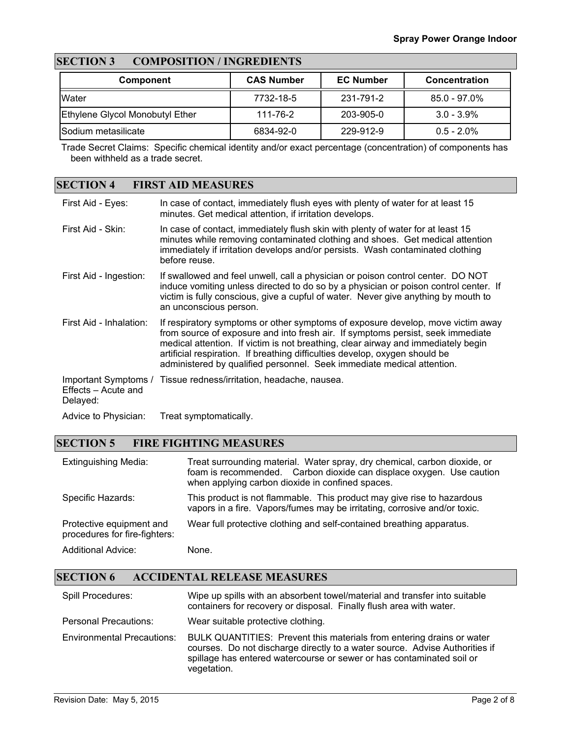# **SECTION 3 COMPOSITION / INGREDIENTS**

| <b>Component</b>                       | <b>CAS Number</b> | <b>EC Number</b> | <b>Concentration</b> |
|----------------------------------------|-------------------|------------------|----------------------|
| <b>IWater</b>                          | 7732-18-5         | 231-791-2        | $85.0 - 97.0\%$      |
| <b>Ethylene Glycol Monobutyl Ether</b> | 111-76-2          | 203-905-0        | $3.0 - 3.9\%$        |
| Sodium metasilicate                    | 6834-92-0         | 229-912-9        | $0.5 - 2.0\%$        |

Trade Secret Claims: Specific chemical identity and/or exact percentage (concentration) of components has been withheld as a trade secret.

#### **SECTION 4 FIRST AID MEASURES**

| First Aid - Eyes:               | In case of contact, immediately flush eyes with plenty of water for at least 15<br>minutes. Get medical attention, if irritation develops.                                                                                                                                                                                                                                                                       |
|---------------------------------|------------------------------------------------------------------------------------------------------------------------------------------------------------------------------------------------------------------------------------------------------------------------------------------------------------------------------------------------------------------------------------------------------------------|
| First Aid - Skin:               | In case of contact, immediately flush skin with plenty of water for at least 15<br>minutes while removing contaminated clothing and shoes. Get medical attention<br>immediately if irritation develops and/or persists. Wash contaminated clothing<br>before reuse.                                                                                                                                              |
| First Aid - Ingestion:          | If swallowed and feel unwell, call a physician or poison control center. DO NOT<br>induce vomiting unless directed to do so by a physician or poison control center. If<br>victim is fully conscious, give a cupful of water. Never give anything by mouth to<br>an unconscious person.                                                                                                                          |
| First Aid - Inhalation:         | If respiratory symptoms or other symptoms of exposure develop, move victim away<br>from source of exposure and into fresh air. If symptoms persist, seek immediate<br>medical attention. If victim is not breathing, clear airway and immediately begin<br>artificial respiration. If breathing difficulties develop, oxygen should be<br>administered by qualified personnel. Seek immediate medical attention. |
| Effects - Acute and<br>Delayed: | Important Symptoms / Tissue redness/irritation, headache, nausea.                                                                                                                                                                                                                                                                                                                                                |
| Advice to Physician:            | Treat symptomatically.                                                                                                                                                                                                                                                                                                                                                                                           |

#### **SECTION 5 FIRE FIGHTING MEASURES**

| <b>Extinguishing Media:</b>                               | Treat surrounding material. Water spray, dry chemical, carbon dioxide, or<br>foam is recommended. Carbon dioxide can displace oxygen. Use caution<br>when applying carbon dioxide in confined spaces. |
|-----------------------------------------------------------|-------------------------------------------------------------------------------------------------------------------------------------------------------------------------------------------------------|
| Specific Hazards:                                         | This product is not flammable. This product may give rise to hazardous<br>vapors in a fire. Vapors/fumes may be irritating, corrosive and/or toxic.                                                   |
| Protective equipment and<br>procedures for fire-fighters: | Wear full protective clothing and self-contained breathing apparatus.                                                                                                                                 |
| <b>Additional Advice:</b>                                 | None.                                                                                                                                                                                                 |

### **SECTION 6 ACCIDENTAL RELEASE MEASURES**

| <b>Spill Procedures:</b>          | Wipe up spills with an absorbent towel/material and transfer into suitable<br>containers for recovery or disposal. Finally flush area with water.                                                                                            |
|-----------------------------------|----------------------------------------------------------------------------------------------------------------------------------------------------------------------------------------------------------------------------------------------|
| Personal Precautions:             | Wear suitable protective clothing.                                                                                                                                                                                                           |
| <b>Environmental Precautions:</b> | BULK QUANTITIES: Prevent this materials from entering drains or water<br>courses. Do not discharge directly to a water source. Advise Authorities if<br>spillage has entered watercourse or sewer or has contaminated soil or<br>vegetation. |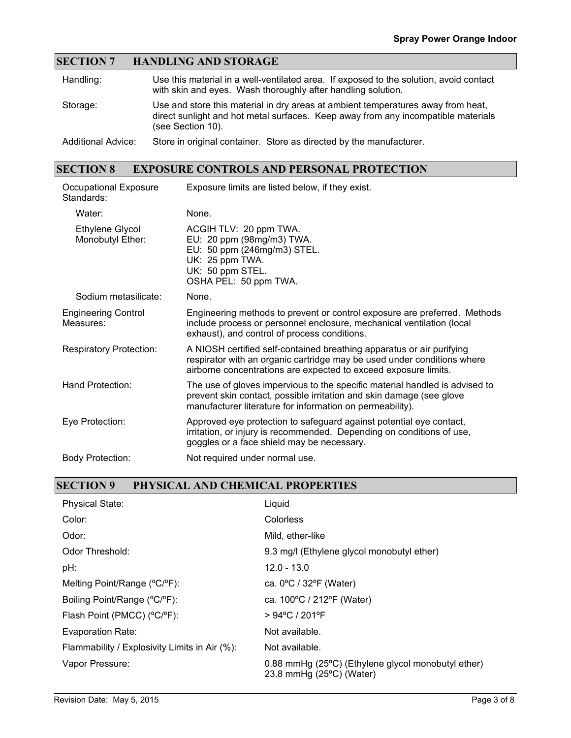# **SECTION 7 HANDLING AND STORAGE**

| Handling:                 | Use this material in a well-ventilated area. If exposed to the solution, avoid contact<br>with skin and eyes. Wash thoroughly after handling solution.                                     |
|---------------------------|--------------------------------------------------------------------------------------------------------------------------------------------------------------------------------------------|
| Storage:                  | Use and store this material in dry areas at ambient temperatures away from heat,<br>direct sunlight and hot metal surfaces. Keep away from any incompatible materials<br>(see Section 10). |
| <b>Additional Advice:</b> | Store in original container. Store as directed by the manufacturer.                                                                                                                        |

# **SECTION 8 EXPOSURE CONTROLS AND PERSONAL PROTECTION**

| Occupational Exposure<br>Standards:     | Exposure limits are listed below, if they exist.                                                                                                                                                                    |
|-----------------------------------------|---------------------------------------------------------------------------------------------------------------------------------------------------------------------------------------------------------------------|
| Water:                                  | None.                                                                                                                                                                                                               |
| Ethylene Glycol<br>Monobutyl Ether:     | ACGIH TLV: 20 ppm TWA.<br>EU: 20 ppm (98mg/m3) TWA.<br>EU: 50 ppm (246mg/m3) STEL.<br>UK: 25 ppm TWA.<br>UK: 50 ppm STEL.<br>OSHA PEL: 50 ppm TWA.                                                                  |
| Sodium metasilicate:                    | None.                                                                                                                                                                                                               |
| <b>Engineering Control</b><br>Measures: | Engineering methods to prevent or control exposure are preferred. Methods<br>include process or personnel enclosure, mechanical ventilation (local<br>exhaust), and control of process conditions.                  |
| <b>Respiratory Protection:</b>          | A NIOSH certified self-contained breathing apparatus or air purifying<br>respirator with an organic cartridge may be used under conditions where<br>airborne concentrations are expected to exceed exposure limits. |
| Hand Protection:                        | The use of gloves impervious to the specific material handled is advised to<br>prevent skin contact, possible irritation and skin damage (see glove<br>manufacturer literature for information on permeability).    |
| Eye Protection:                         | Approved eye protection to safeguard against potential eye contact,<br>irritation, or injury is recommended. Depending on conditions of use,<br>goggles or a face shield may be necessary.                          |
| <b>Body Protection:</b>                 | Not required under normal use.                                                                                                                                                                                      |

### **SECTION 9 PHYSICAL AND CHEMICAL PROPERTIES**

| <b>Physical State:</b>                        | Liquid                                                                                  |
|-----------------------------------------------|-----------------------------------------------------------------------------------------|
| Color:                                        | Colorless                                                                               |
| Odor:                                         | Mild, ether-like                                                                        |
| Odor Threshold:                               | 9.3 mg/l (Ethylene glycol monobutyl ether)                                              |
| pH:                                           | $12.0 - 13.0$                                                                           |
| Melting Point/Range (°C/°F):                  | ca. $0^{\circ}$ C / 32 $^{\circ}$ F (Water)                                             |
| Boiling Point/Range (°C/°F):                  | ca. 100°C / 212°F (Water)                                                               |
| Flash Point (PMCC) (°C/°F):                   | > 94°C / 201°F                                                                          |
| Evaporation Rate:                             | Not available.                                                                          |
| Flammability / Explosivity Limits in Air (%): | Not available.                                                                          |
| Vapor Pressure:                               | 0.88 mmHg (25°C) (Ethylene glycol monobutyl ether)<br>23.8 mmHg $(25^{\circ}C)$ (Water) |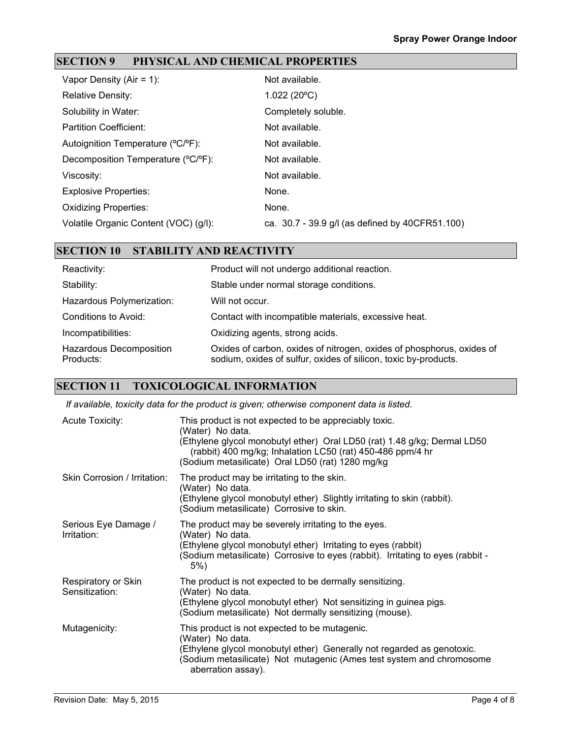# **SECTION 9 PHYSICAL AND CHEMICAL PROPERTIES**

| Vapor Density (Air = $1$ ):           | Not available.                                  |
|---------------------------------------|-------------------------------------------------|
| <b>Relative Density:</b>              | 1.022(20°C)                                     |
| Solubility in Water:                  | Completely soluble.                             |
| Partition Coefficient:                | Not available.                                  |
| Autoignition Temperature (°C/°F):     | Not available.                                  |
| Decomposition Temperature (°C/°F):    | Not available.                                  |
| Viscosity:                            | Not available.                                  |
| <b>Explosive Properties:</b>          | None.                                           |
| <b>Oxidizing Properties:</b>          | None.                                           |
| Volatile Organic Content (VOC) (g/l): | ca. 30.7 - 39.9 g/l (as defined by 40CFR51.100) |

### **SECTION 10 STABILITY AND REACTIVITY**

| Reactivity:                          | Product will not undergo additional reaction.                                                                                            |
|--------------------------------------|------------------------------------------------------------------------------------------------------------------------------------------|
| Stability:                           | Stable under normal storage conditions.                                                                                                  |
| Hazardous Polymerization:            | Will not occur.                                                                                                                          |
| Conditions to Avoid:                 | Contact with incompatible materials, excessive heat.                                                                                     |
| Incompatibilities:                   | Oxidizing agents, strong acids.                                                                                                          |
| Hazardous Decomposition<br>Products: | Oxides of carbon, oxides of nitrogen, oxides of phosphorus, oxides of<br>sodium, oxides of sulfur, oxides of silicon, toxic by-products. |

# **SECTION 11 TOXICOLOGICAL INFORMATION**

*If available, toxicity data for the product is given; otherwise component data is listed.*

| <b>Acute Toxicity:</b>                | This product is not expected to be appreciably toxic.<br>(Water) No data.<br>(Ethylene glycol monobutyl ether) Oral LD50 (rat) 1.48 g/kg; Dermal LD50<br>(rabbit) 400 mg/kg; Inhalation LC50 (rat) 450-486 ppm/4 hr<br>(Sodium metasilicate) Oral LD50 (rat) 1280 mg/kg |
|---------------------------------------|-------------------------------------------------------------------------------------------------------------------------------------------------------------------------------------------------------------------------------------------------------------------------|
| Skin Corrosion / Irritation:          | The product may be irritating to the skin.<br>(Water) No data.<br>(Ethylene glycol monobutyl ether) Slightly irritating to skin (rabbit).<br>(Sodium metasilicate) Corrosive to skin.                                                                                   |
| Serious Eye Damage /<br>Irritation:   | The product may be severely irritating to the eyes.<br>(Water) No data.<br>(Ethylene glycol monobutyl ether) Irritating to eyes (rabbit)<br>(Sodium metasilicate) Corrosive to eyes (rabbit). Irritating to eyes (rabbit -<br>$5\%)$                                    |
| Respiratory or Skin<br>Sensitization: | The product is not expected to be dermally sensitizing.<br>(Water) No data.<br>(Ethylene glycol monobutyl ether) Not sensitizing in guinea pigs.<br>(Sodium metasilicate) Not dermally sensitizing (mouse).                                                             |
| Mutagenicity:                         | This product is not expected to be mutagenic.<br>(Water) No data.<br>(Ethylene glycol monobutyl ether) Generally not regarded as genotoxic.<br>(Sodium metasilicate) Not mutagenic (Ames test system and chromosome<br>aberration assay).                               |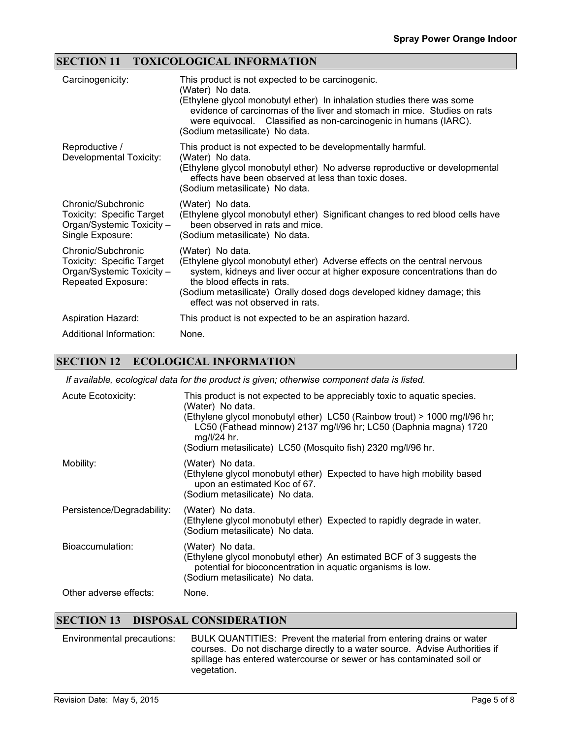## **SECTION 11 TOXICOLOGICAL INFORMATION**

| Carcinogenicity:                                                                                        | This product is not expected to be carcinogenic.<br>(Water) No data.<br>(Ethylene glycol monobutyl ether) In inhalation studies there was some<br>evidence of carcinomas of the liver and stomach in mice. Studies on rats<br>were equivocal. Classified as non-carcinogenic in humans (IARC).<br>(Sodium metasilicate) No data. |
|---------------------------------------------------------------------------------------------------------|----------------------------------------------------------------------------------------------------------------------------------------------------------------------------------------------------------------------------------------------------------------------------------------------------------------------------------|
| Reproductive /<br>Developmental Toxicity:                                                               | This product is not expected to be developmentally harmful.<br>(Water) No data.<br>(Ethylene glycol monobutyl ether) No adverse reproductive or developmental<br>effects have been observed at less than toxic doses.<br>(Sodium metasilicate) No data.                                                                          |
| Chronic/Subchronic<br><b>Toxicity: Specific Target</b><br>Organ/Systemic Toxicity -<br>Single Exposure: | (Water) No data.<br>(Ethylene glycol monobutyl ether) Significant changes to red blood cells have<br>been observed in rats and mice.<br>(Sodium metasilicate) No data.                                                                                                                                                           |
| Chronic/Subchronic<br>Toxicity: Specific Target<br>Organ/Systemic Toxicity -<br>Repeated Exposure:      | (Water) No data.<br>(Ethylene glycol monobutyl ether) Adverse effects on the central nervous<br>system, kidneys and liver occur at higher exposure concentrations than do<br>the blood effects in rats.<br>(Sodium metasilicate) Orally dosed dogs developed kidney damage; this<br>effect was not observed in rats.             |
| <b>Aspiration Hazard:</b>                                                                               | This product is not expected to be an aspiration hazard.                                                                                                                                                                                                                                                                         |
| Additional Information:                                                                                 | None.                                                                                                                                                                                                                                                                                                                            |

#### **SECTION 12 ECOLOGICAL INFORMATION**

*If available, ecological data for the product is given; otherwise component data is listed.*

| <b>Acute Ecotoxicity:</b>  | This product is not expected to be appreciably toxic to aquatic species.<br>(Water) No data.<br>(Ethylene glycol monobutyl ether) LC50 (Rainbow trout) > 1000 mg/l/96 hr;<br>LC50 (Fathead minnow) 2137 mg/l/96 hr; LC50 (Daphnia magna) 1720<br>$mg/l/24$ hr.<br>(Sodium metasilicate) LC50 (Mosquito fish) 2320 mg/l/96 hr. |
|----------------------------|-------------------------------------------------------------------------------------------------------------------------------------------------------------------------------------------------------------------------------------------------------------------------------------------------------------------------------|
| Mobility:                  | (Water) No data.<br>(Ethylene glycol monobutyl ether) Expected to have high mobility based<br>upon an estimated Koc of 67.<br>(Sodium metasilicate) No data.                                                                                                                                                                  |
| Persistence/Degradability: | (Water) No data.<br>(Ethylene glycol monobutyl ether) Expected to rapidly degrade in water.<br>(Sodium metasilicate) No data.                                                                                                                                                                                                 |
| Bioaccumulation:           | (Water) No data.<br>(Ethylene glycol monobutyl ether) An estimated BCF of 3 suggests the<br>potential for bioconcentration in aquatic organisms is low.<br>(Sodium metasilicate) No data.                                                                                                                                     |
| Other adverse effects:     | None.                                                                                                                                                                                                                                                                                                                         |

#### **SECTION 13 DISPOSAL CONSIDERATION**

Environmental precautions: BULK QUANTITIES: Prevent the material from entering drains or water courses. Do not discharge directly to a water source. Advise Authorities if spillage has entered watercourse or sewer or has contaminated soil or vegetation.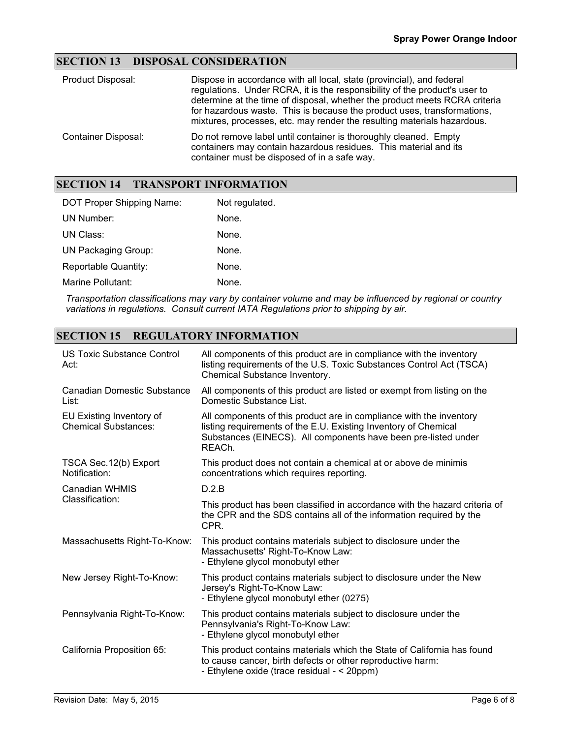### **SECTION 13 DISPOSAL CONSIDERATION**

| Product Disposal:          | Dispose in accordance with all local, state (provincial), and federal<br>regulations. Under RCRA, it is the responsibility of the product's user to<br>determine at the time of disposal, whether the product meets RCRA criteria<br>for hazardous waste. This is because the product uses, transformations,<br>mixtures, processes, etc. may render the resulting materials hazardous. |
|----------------------------|-----------------------------------------------------------------------------------------------------------------------------------------------------------------------------------------------------------------------------------------------------------------------------------------------------------------------------------------------------------------------------------------|
| <b>Container Disposal:</b> | Do not remove label until container is thoroughly cleaned. Empty<br>containers may contain hazardous residues. This material and its<br>container must be disposed of in a safe way.                                                                                                                                                                                                    |

### **SECTION 14 TRANSPORT INFORMATION**

| DOT Proper Shipping Name:  | Not regulated. |
|----------------------------|----------------|
| UN Number:                 | None.          |
| UN Class:                  | None.          |
| <b>UN Packaging Group:</b> | None.          |
| Reportable Quantity:       | None.          |
| Marine Pollutant:          | None.          |

*Transportation classifications may vary by container volume and may be influenced by regional or country variations in regulations. Consult current IATA Regulations prior to shipping by air.*

## **SECTION 15 REGULATORY INFORMATION**

| <b>US Toxic Substance Control</b><br>Act:               | All components of this product are in compliance with the inventory<br>listing requirements of the U.S. Toxic Substances Control Act (TSCA)<br>Chemical Substance Inventory.                                       |
|---------------------------------------------------------|--------------------------------------------------------------------------------------------------------------------------------------------------------------------------------------------------------------------|
| <b>Canadian Domestic Substance</b><br>List:             | All components of this product are listed or exempt from listing on the<br>Domestic Substance List.                                                                                                                |
| EU Existing Inventory of<br><b>Chemical Substances:</b> | All components of this product are in compliance with the inventory<br>listing requirements of the E.U. Existing Inventory of Chemical<br>Substances (EINECS). All components have been pre-listed under<br>REACh. |
| TSCA Sec. 12(b) Export<br>Notification:                 | This product does not contain a chemical at or above de minimis<br>concentrations which requires reporting.                                                                                                        |
| <b>Canadian WHMIS</b>                                   | D.2.B                                                                                                                                                                                                              |
| Classification:                                         | This product has been classified in accordance with the hazard criteria of<br>the CPR and the SDS contains all of the information required by the<br>CPR.                                                          |
| Massachusetts Right-To-Know:                            | This product contains materials subject to disclosure under the<br>Massachusetts' Right-To-Know Law:<br>- Ethylene glycol monobutyl ether                                                                          |
| New Jersey Right-To-Know:                               | This product contains materials subject to disclosure under the New<br>Jersey's Right-To-Know Law:<br>- Ethylene glycol monobutyl ether (0275)                                                                     |
| Pennsylvania Right-To-Know:                             | This product contains materials subject to disclosure under the<br>Pennsylvania's Right-To-Know Law:<br>- Ethylene glycol monobutyl ether                                                                          |
| California Proposition 65:                              | This product contains materials which the State of California has found<br>to cause cancer, birth defects or other reproductive harm:<br>- Ethylene oxide (trace residual - < 20ppm)                               |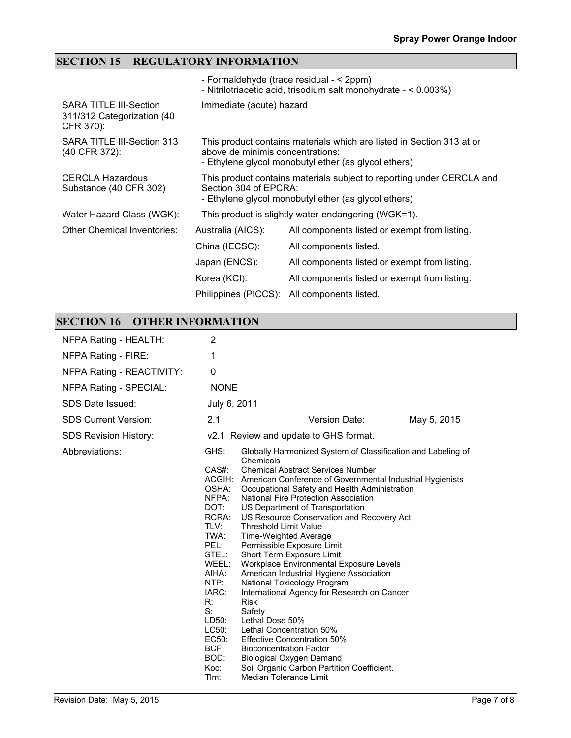# **SECTION 15 REGULATORY INFORMATION**

|                                                                          |                                  | - Formaldehyde (trace residual - < 2ppm)<br>- Nitrilotriacetic acid, trisodium salt monohydrate - < 0.003%)                   |
|--------------------------------------------------------------------------|----------------------------------|-------------------------------------------------------------------------------------------------------------------------------|
| <b>SARA TITLE III-Section</b><br>311/312 Categorization (40<br>CFR 370): | Immediate (acute) hazard         |                                                                                                                               |
| SARA TITLE III-Section 313<br>(40 CFR 372):                              | above de minimis concentrations: | This product contains materials which are listed in Section 313 at or<br>- Ethylene glycol monobutyl ether (as glycol ethers) |
| <b>CERCLA Hazardous</b><br>Substance (40 CFR 302)                        | Section 304 of EPCRA:            | This product contains materials subject to reporting under CERCLA and<br>- Ethylene glycol monobutyl ether (as glycol ethers) |
| Water Hazard Class (WGK):                                                |                                  | This product is slightly water-endangering (WGK=1).                                                                           |
| Other Chemical Inventories:                                              | Australia (AICS):                | All components listed or exempt from listing.                                                                                 |
|                                                                          | China (IECSC):                   | All components listed.                                                                                                        |
|                                                                          | Japan (ENCS):                    | All components listed or exempt from listing.                                                                                 |
|                                                                          | Korea (KCI):                     | All components listed or exempt from listing.                                                                                 |
|                                                                          | Philippines (PICCS):             | All components listed.                                                                                                        |

# **SECTION 16 OTHER INFORMATION**

| NFPA Rating - HEALTH:         | 2                                                                                                                                                                                                       |                                                                                                                                                                                                                                                                                                                                                                                                                                                                                                                                                                                                                                                                                                                                                                                                                                                                                                                              |  |
|-------------------------------|---------------------------------------------------------------------------------------------------------------------------------------------------------------------------------------------------------|------------------------------------------------------------------------------------------------------------------------------------------------------------------------------------------------------------------------------------------------------------------------------------------------------------------------------------------------------------------------------------------------------------------------------------------------------------------------------------------------------------------------------------------------------------------------------------------------------------------------------------------------------------------------------------------------------------------------------------------------------------------------------------------------------------------------------------------------------------------------------------------------------------------------------|--|
| NFPA Rating - FIRE:           | 1                                                                                                                                                                                                       |                                                                                                                                                                                                                                                                                                                                                                                                                                                                                                                                                                                                                                                                                                                                                                                                                                                                                                                              |  |
| NFPA Rating - REACTIVITY:     | 0                                                                                                                                                                                                       |                                                                                                                                                                                                                                                                                                                                                                                                                                                                                                                                                                                                                                                                                                                                                                                                                                                                                                                              |  |
| <b>NFPA Rating - SPECIAL:</b> | <b>NONE</b>                                                                                                                                                                                             |                                                                                                                                                                                                                                                                                                                                                                                                                                                                                                                                                                                                                                                                                                                                                                                                                                                                                                                              |  |
| SDS Date Issued:              | July 6, 2011                                                                                                                                                                                            |                                                                                                                                                                                                                                                                                                                                                                                                                                                                                                                                                                                                                                                                                                                                                                                                                                                                                                                              |  |
| <b>SDS Current Version:</b>   | 2.1                                                                                                                                                                                                     | Version Date:<br>May 5, 2015                                                                                                                                                                                                                                                                                                                                                                                                                                                                                                                                                                                                                                                                                                                                                                                                                                                                                                 |  |
| <b>SDS Revision History:</b>  |                                                                                                                                                                                                         | v2.1 Review and update to GHS format.                                                                                                                                                                                                                                                                                                                                                                                                                                                                                                                                                                                                                                                                                                                                                                                                                                                                                        |  |
| Abbreviations:                | GHS:<br>$CAS#$ :<br>OSHA:<br>NFPA:<br>DOT:<br>RCRA:<br>TLV:<br>TWA:<br>PEL:<br>STEL:<br>WEEL:<br>AIHA:<br>NTP:<br>IARC:<br>$R$ :<br>S:<br>LD50:<br>LC50:<br>EC50:<br><b>BCF</b><br>BOD:<br>Koc:<br>Tlm: | Globally Harmonized System of Classification and Labeling of<br>Chemicals<br><b>Chemical Abstract Services Number</b><br>ACGIH: American Conference of Governmental Industrial Hygienists<br>Occupational Safety and Health Administration<br>National Fire Protection Association<br>US Department of Transportation<br>US Resource Conservation and Recovery Act<br><b>Threshold Limit Value</b><br><b>Time-Weighted Average</b><br>Permissible Exposure Limit<br>Short Term Exposure Limit<br>Workplace Environmental Exposure Levels<br>American Industrial Hygiene Association<br>National Toxicology Program<br>International Agency for Research on Cancer<br><b>Risk</b><br>Safety<br>Lethal Dose 50%<br>Lethal Concentration 50%<br><b>Effective Concentration 50%</b><br><b>Bioconcentration Factor</b><br><b>Biological Oxygen Demand</b><br>Soil Organic Carbon Partition Coefficient.<br>Median Tolerance Limit |  |